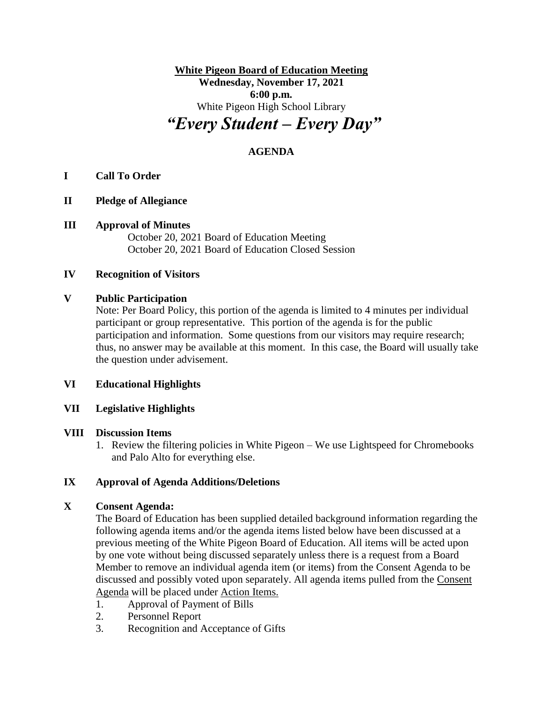**White Pigeon Board of Education Meeting Wednesday, November 17, 2021 6:00 p.m.** White Pigeon High School Library *"Every Student – Every Day"*

# **AGENDA**

## **I Call To Order**

## **II Pledge of Allegiance**

**III Approval of Minutes**

October 20, 2021 Board of Education Meeting October 20, 2021 Board of Education Closed Session

#### **IV Recognition of Visitors**

#### **V Public Participation**

Note: Per Board Policy, this portion of the agenda is limited to 4 minutes per individual participant or group representative. This portion of the agenda is for the public participation and information. Some questions from our visitors may require research; thus, no answer may be available at this moment. In this case, the Board will usually take the question under advisement.

#### **VI Educational Highlights**

## **VII Legislative Highlights**

## **VIII Discussion Items**

1. Review the filtering policies in White Pigeon – We use Lightspeed for Chromebooks and Palo Alto for everything else.

## **IX Approval of Agenda Additions/Deletions**

## **X Consent Agenda:**

The Board of Education has been supplied detailed background information regarding the following agenda items and/or the agenda items listed below have been discussed at a previous meeting of the White Pigeon Board of Education. All items will be acted upon by one vote without being discussed separately unless there is a request from a Board Member to remove an individual agenda item (or items) from the Consent Agenda to be discussed and possibly voted upon separately. All agenda items pulled from the Consent Agenda will be placed under Action Items.

- 1. Approval of Payment of Bills
- 2. Personnel Report
- 3. Recognition and Acceptance of Gifts